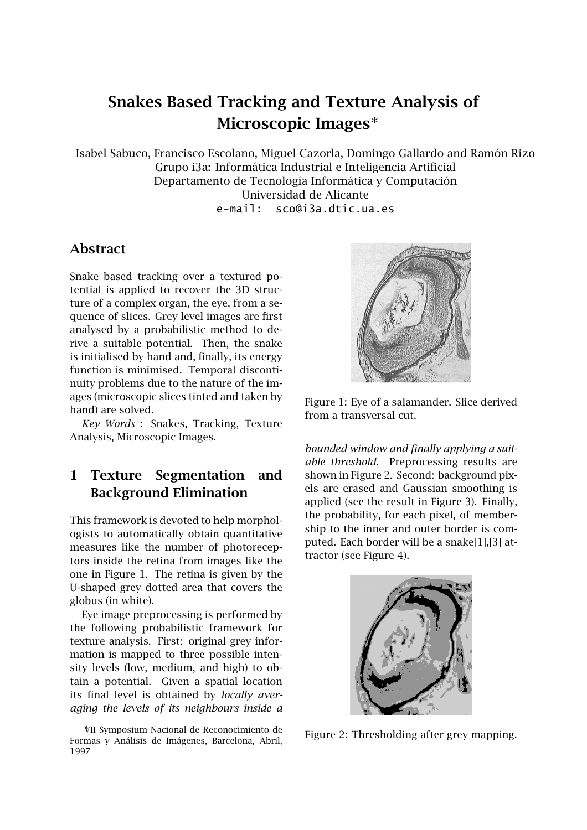# **Snakes Based Tracking and Texture Analysis of Microscopic Images**∗

Isabel Sabuco, Francisco Escolano, Miguel Cazorla, Domingo Gallardo and Ramón Rizo Grupo i3a: Informática Industrial e Inteligencia Artificial Departamento de Tecnología Informática y Computación Universidad de Alicante e-mail: sco@i3a.dtic.ua.es

### **Abstract**

Snake based tracking over a textured potential is applied to recover the 3D structure of a complex organ, the eye, from a sequence of slices. Grey level images are first analysed by a probabilistic method to derive a suitable potential. Then, the snake is initialised by hand and, finally, its energy function is minimised. Temporal discontinuity problems due to the nature of the images (microscopic slices tinted and taken by hand) are solved.

*Key Words* : Snakes, Tracking, Texture Analysis, Microscopic Images.

## **1 Texture Segmentation and Background Elimination**

This framework is devoted to help morphologists to automatically obtain quantitative measures like the number of photoreceptors inside the retina from images like the one in Figure 1. The retina is given by the U-shaped grey dotted area that covers the globus (in white).

Eye image preprocessing is performed by the following probabilistic framework for texture analysis. First: original grey information is mapped to three possible intensity levels (low, medium, and high) to obtain a potential. Given a spatial location its final level is obtained by *locally averaging the levels of its neighbours inside a*



Figure 1: Eye of a salamander. Slice derived from a transversal cut.

*bounded window and finally applying a suitable threshold*. Preprocessing results are shown in Figure 2. Second: background pixels are erased and Gaussian smoothing is applied (see the result in Figure 3). Finally, the probability, for each pixel, of membership to the inner and outer border is computed. Each border will be a snake[1],[3] attractor (see Figure 4).



Figure 2: Thresholding after grey mapping.

<sup>∗</sup>VII Symposium Nacional de Reconocimiento de Formas y Análisis de Imágenes, Barcelona, Abril, 1997